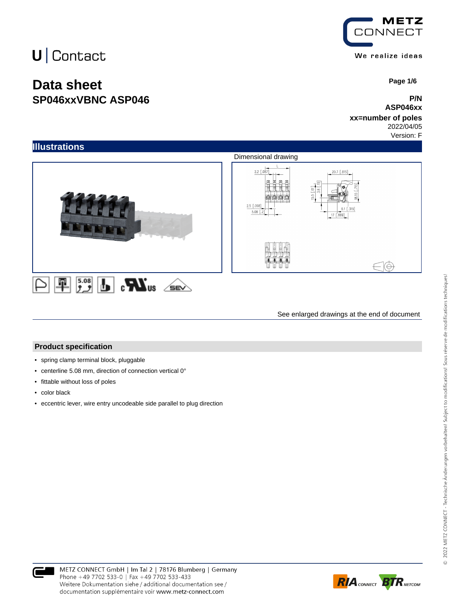### **Data sheet SP046xxVBNC ASP046**



 **Page 1/6**

#### **P/N ASP046xx**

#### **xx=number of poles** 2022/04/05

Version: F



See enlarged drawings at the end of document

#### **Product specification**

- spring clamp terminal block, pluggable
- centerline 5.08 mm, direction of connection vertical 0°
- fittable without loss of poles
- color black
- eccentric lever, wire entry uncodeable side parallel to plug direction



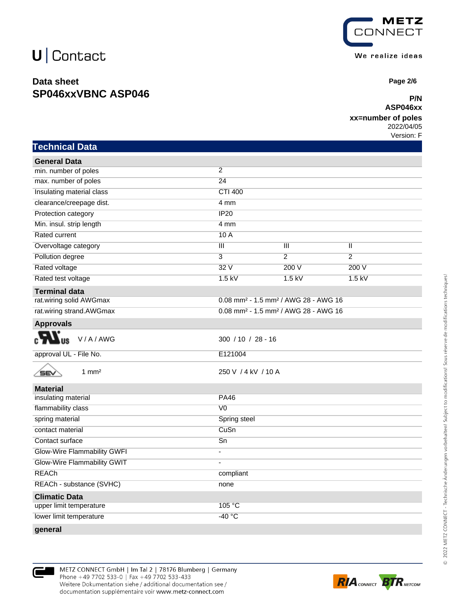### **Data sheet SP046xxVBNC ASP046**



 **Page 2/6**

#### **P/N ASP046xx**

#### **xx=number of poles**

2022/04/05 Version: F

|  | Technical Data |
|--|----------------|
|  |                |

| <b>General Data</b>                |                                                              |                         |                |
|------------------------------------|--------------------------------------------------------------|-------------------------|----------------|
| min. number of poles               | $\overline{2}$                                               |                         |                |
| max. number of poles               | $\overline{24}$                                              |                         |                |
| Insulating material class          | <b>CTI 400</b>                                               |                         |                |
| clearance/creepage dist.           | 4 mm                                                         |                         |                |
| Protection category                | IP20                                                         |                         |                |
| Min. insul. strip length           | 4 mm                                                         |                         |                |
| <b>Rated current</b>               | 10A                                                          |                         |                |
| Overvoltage category               | $\overline{\mathsf{III}}$                                    | $\overline{\mathbb{H}}$ | $\mathbf{I}$   |
| Pollution degree                   | $\overline{3}$                                               | $\overline{2}$          | $\overline{2}$ |
| Rated voltage                      | 32V                                                          | 200V                    | 200 V          |
| Rated test voltage                 | $1.5$ kV                                                     | $1.5$ kV                | $1.5$ kV       |
| <b>Terminal data</b>               |                                                              |                         |                |
| rat.wiring solid AWGmax            | 0.08 mm <sup>2</sup> - 1.5 mm <sup>2</sup> / AWG 28 - AWG 16 |                         |                |
| rat.wiring strand.AWGmax           | 0.08 mm <sup>2</sup> - 1.5 mm <sup>2</sup> / AWG 28 - AWG 16 |                         |                |
| <b>Approvals</b>                   |                                                              |                         |                |
| V/A/AWG                            | $300 / 10 / 28 - 16$                                         |                         |                |
| approval UL - File No.             | E121004                                                      |                         |                |
| $1 \text{ mm}^2$<br>SEV            | 250 V / 4 kV / 10 A                                          |                         |                |
| <b>Material</b>                    |                                                              |                         |                |
| insulating material                | <b>PA46</b>                                                  |                         |                |
| flammability class                 | V <sub>0</sub>                                               |                         |                |
| spring material                    | Spring steel                                                 |                         |                |
| contact material                   | CuSn                                                         |                         |                |
| Contact surface                    | $\overline{Sn}$                                              |                         |                |
| <b>Glow-Wire Flammability GWFI</b> | $\blacksquare$                                               |                         |                |
| Glow-Wire Flammability GWIT        | ÷,                                                           |                         |                |
| <b>REACh</b>                       | compliant                                                    |                         |                |
| REACh - substance (SVHC)           | none                                                         |                         |                |
| <b>Climatic Data</b>               |                                                              |                         |                |
| upper limit temperature            | 105 °C                                                       |                         |                |
| lower limit temperature            | $-40 °C$                                                     |                         |                |
|                                    |                                                              |                         |                |

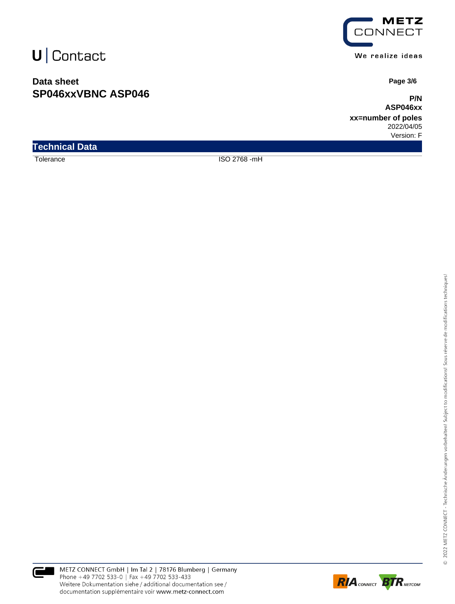### **Data sheet SP046xxVBNC ASP046**



We realize ideas

 **Page 3/6**

**P/N ASP046xx**

**xx=number of poles** 2022/04/05 Version: F

**Technical Data**

Tolerance ISO 2768 -mH



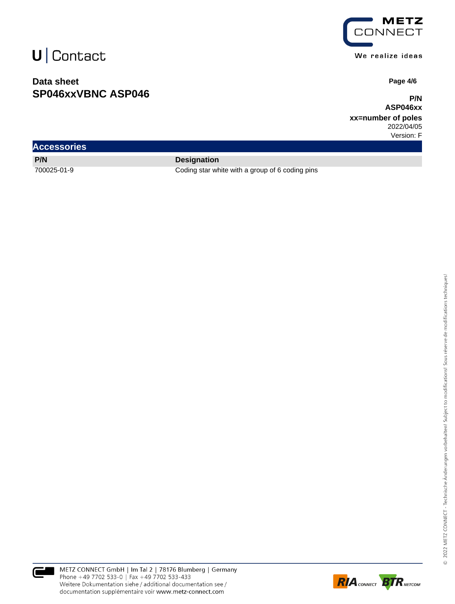### **Data sheet SP046xxVBNC ASP046**



We realize ideas

 **Page 4/6**

**P/N ASP046xx**

**xx=number of poles** 2022/04/05

Version: F

| <b>Accessories</b> |                    |
|--------------------|--------------------|
| P/N                | <b>Designation</b> |

700025-01-9 Coding star white with a group of 6 coding pins



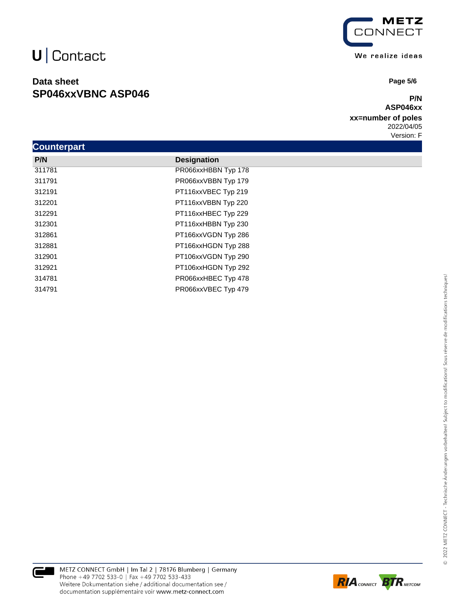### **Data sheet SP046xxVBNC ASP046**



 **Page 5/6**

#### **P/N ASP046xx**

**xx=number of poles** 2022/04/05 Version: F

| <b>Counterpart</b> |                     |  |  |  |
|--------------------|---------------------|--|--|--|
| P/N                | <b>Designation</b>  |  |  |  |
| 311781             | PR066xxHBBN Typ 178 |  |  |  |
| 311791             | PR066xxVBBN Typ 179 |  |  |  |
| 312191             | PT116xxVBEC Typ 219 |  |  |  |
| 312201             | PT116xxVBBN Typ 220 |  |  |  |
| 312291             | PT116xxHBEC Typ 229 |  |  |  |
| 312301             | PT116xxHBBN Typ 230 |  |  |  |
| 312861             | PT166xxVGDN Typ 286 |  |  |  |
| 312881             | PT166xxHGDN Typ 288 |  |  |  |
| 312901             | PT106xxVGDN Typ 290 |  |  |  |
| 312921             | PT106xxHGDN Typ 292 |  |  |  |
| 314781             | PR066xxHBEC Typ 478 |  |  |  |
| 314791             | PR066xxVBEC Typ 479 |  |  |  |